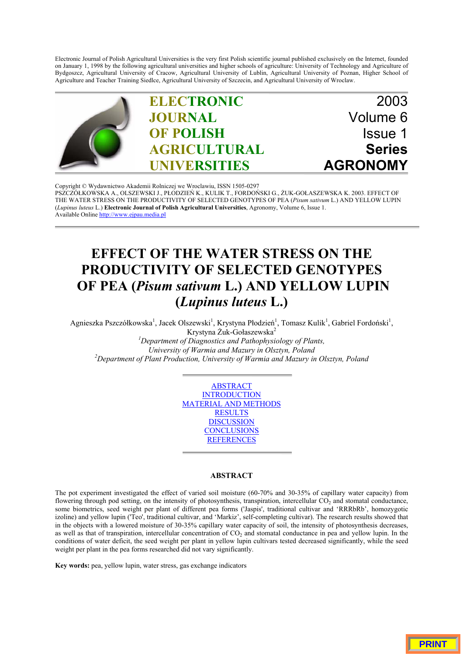Electronic Journal of Polish Agricultural Universities is the very first Polish scientific journal published exclusively on the Internet, founded on January 1, 1998 by the following agricultural universities and higher schools of agriculture: University of Technology and Agriculture of Bydgoszcz, Agricultural University of Cracow, Agricultural University of Lublin, Agricultural University of Poznan, Higher School of Agriculture and Teacher Training Siedlce, Agricultural University of Szczecin, and Agricultural University of Wroclaw.



Copyright © Wydawnictwo Akademii Rolniczej we Wroclawiu, ISSN 1505-0297 PSZCZÓŁKOWSKA A., OLSZEWSKI J., PŁODZIEŃ K., KULIK T., FORDOŃSKI G., ŻUK-GOŁASZEWSKA K. 2003. EFFECT OF THE WATER STRESS ON THE PRODUCTIVITY OF SELECTED GENOTYPES OF PEA (*Pisum sativum* L.) AND YELLOW LUPIN (*Lupinus luteus* L.) **Electronic Journal of Polish Agricultural Universities**, Agronomy, Volume 6, Issue 1. Available Online http://www.ejpau.media.pl

# **EFFECT OF THE WATER STRESS ON THE PRODUCTIVITY OF SELECTED GENOTYPES OF PEA (***Pisum sativum* **L.) AND YELLOW LUPIN (***Lupinus luteus* **L.)**

Agnieszka Pszczółkowska<sup>1</sup>, Jacek Olszewski<sup>1</sup>, Krystyna Płodzień<sup>1</sup>, Tomasz Kulik<sup>1</sup>, Gabriel Fordoński<sup>1</sup>, Krystyna Żuk-Gołaszewska<sup>2</sup> *1 Department of Diagnostics and Pathophysiology of Plants, University of Warmia and Mazury in Olsztyn, Poland <sup>2</sup> Department of Plant Production, University of Warmia and Mazury in Olsztyn, Poland*

> ABSTRACT INTRODUCTION MATERIAL AND METHODS **RESULTS DISCUSSION CONCLUSIONS REFERENCES**

# **ABSTRACT**

The pot experiment investigated the effect of varied soil moisture (60-70% and 30-35% of capillary water capacity) from flowering through pod setting, on the intensity of photosynthesis, transpiration, intercellular  $CO<sub>2</sub>$  and stomatal conductance, some biometrics, seed weight per plant of different pea forms ('Jaspis', traditional cultivar and 'RRRbRb', homozygotic izoline) and yellow lupin ('Teo', traditional cultivar, and 'Markiz', self-completing cultivar). The research results showed that in the objects with a lowered moisture of 30-35% capillary water capacity of soil, the intensity of photosynthesis decreases, as well as that of transpiration, intercellular concentration of CO<sub>2</sub> and stomatal conductance in pea and yellow lupin. In the conditions of water deficit, the seed weight per plant in yellow lupin cultivars tested decreased significantly, while the seed weight per plant in the pea forms researched did not vary significantly.

**Key words:** pea, yellow lupin, water stress, gas exchange indicators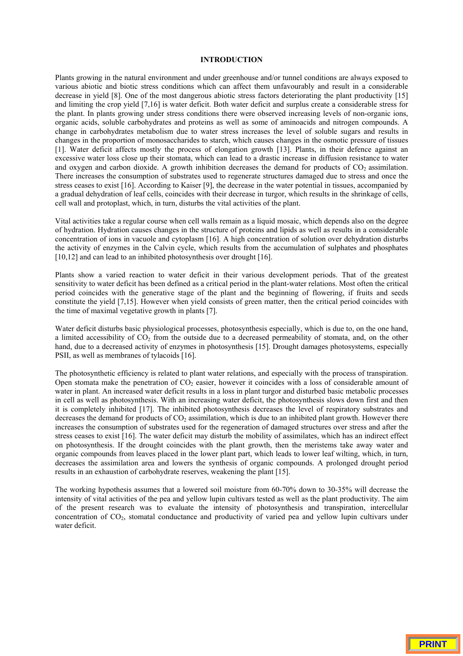## **INTRODUCTION**

Plants growing in the natural environment and under greenhouse and/or tunnel conditions are always exposed to various abiotic and biotic stress conditions which can affect them unfavourably and result in a considerable decrease in yield [8]. One of the most dangerous abiotic stress factors deteriorating the plant productivity [15] and limiting the crop yield [7,16] is water deficit. Both water deficit and surplus create a considerable stress for the plant. In plants growing under stress conditions there were observed increasing levels of non-organic ions, organic acids, soluble carbohydrates and proteins as well as some of aminoacids and nitrogen compounds. A change in carbohydrates metabolism due to water stress increases the level of soluble sugars and results in changes in the proportion of monosaccharides to starch, which causes changes in the osmotic pressure of tissues [1]. Water deficit affects mostly the process of elongation growth [13]. Plants, in their defence against an excessive water loss close up their stomata, which can lead to a drastic increase in diffusion resistance to water and oxygen and carbon dioxide. A growth inhibition decreases the demand for products of  $CO<sub>2</sub>$  assimilation. There increases the consumption of substrates used to regenerate structures damaged due to stress and once the stress ceases to exist [16]. According to Kaiser [9], the decrease in the water potential in tissues, accompanied by a gradual dehydration of leaf cells, coincides with their decrease in turgor, which results in the shrinkage of cells, cell wall and protoplast, which, in turn, disturbs the vital activities of the plant.

Vital activities take a regular course when cell walls remain as a liquid mosaic, which depends also on the degree of hydration. Hydration causes changes in the structure of proteins and lipids as well as results in a considerable concentration of ions in vacuole and cytoplasm [16]. A high concentration of solution over dehydration disturbs the activity of enzymes in the Calvin cycle, which results from the accumulation of sulphates and phosphates [10,12] and can lead to an inhibited photosynthesis over drought [16].

Plants show a varied reaction to water deficit in their various development periods. That of the greatest sensitivity to water deficit has been defined as a critical period in the plant-water relations. Most often the critical period coincides with the generative stage of the plant and the beginning of flowering, if fruits and seeds constitute the yield [7,15]. However when yield consists of green matter, then the critical period coincides with the time of maximal vegetative growth in plants [7].

Water deficit disturbs basic physiological processes, photosynthesis especially, which is due to, on the one hand, a limited accessibility of  $CO<sub>2</sub>$  from the outside due to a decreased permeability of stomata, and, on the other hand, due to a decreased activity of enzymes in photosynthesis [15]. Drought damages photosystems, especially PSII, as well as membranes of tylacoids [16].

The photosynthetic efficiency is related to plant water relations, and especially with the process of transpiration. Open stomata make the penetration of  $CO<sub>2</sub>$  easier, however it coincides with a loss of considerable amount of water in plant. An increased water deficit results in a loss in plant turgor and disturbed basic metabolic processes in cell as well as photosynthesis. With an increasing water deficit, the photosynthesis slows down first and then it is completely inhibited [17]. The inhibited photosynthesis decreases the level of respiratory substrates and decreases the demand for products of  $CO<sub>2</sub>$  assimilation, which is due to an inhibited plant growth. However there increases the consumption of substrates used for the regeneration of damaged structures over stress and after the stress ceases to exist [16]. The water deficit may disturb the mobility of assimilates, which has an indirect effect on photosynthesis. If the drought coincides with the plant growth, then the meristems take away water and organic compounds from leaves placed in the lower plant part, which leads to lower leaf wilting, which, in turn, decreases the assimilation area and lowers the synthesis of organic compounds. A prolonged drought period results in an exhaustion of carbohydrate reserves, weakening the plant [15].

The working hypothesis assumes that a lowered soil moisture from 60-70% down to 30-35% will decrease the intensity of vital activities of the pea and yellow lupin cultivars tested as well as the plant productivity. The aim of the present research was to evaluate the intensity of photosynthesis and transpiration, intercellular concentration of CO<sub>2</sub>, stomatal conductance and productivity of varied pea and yellow lupin cultivars under water deficit.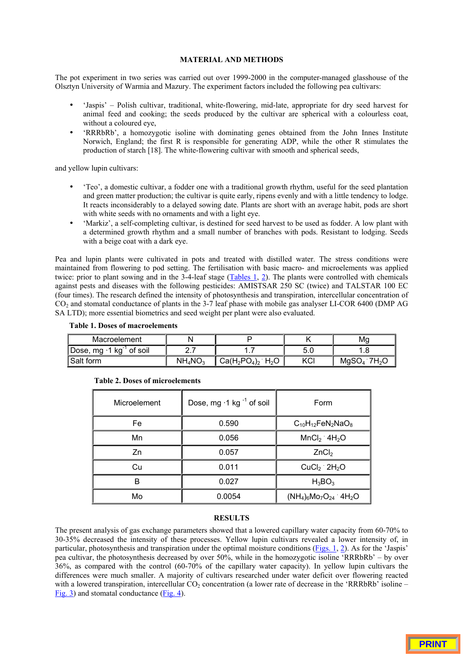### **MATERIAL AND METHODS**

The pot experiment in two series was carried out over 1999-2000 in the computer-managed glasshouse of the Olsztyn University of Warmia and Mazury. The experiment factors included the following pea cultivars:

- 'Jaspis' Polish cultivar, traditional, white-flowering, mid-late, appropriate for dry seed harvest for animal feed and cooking; the seeds produced by the cultivar are spherical with a colourless coat, without a coloured eye,
- 'RRRbRb', a homozygotic isoline with dominating genes obtained from the John Innes Institute Norwich, England; the first R is responsible for generating ADP, while the other R stimulates the production of starch [18]. The white-flowering cultivar with smooth and spherical seeds,

and yellow lupin cultivars:

- 'Teo', a domestic cultivar, a fodder one with a traditional growth rhythm, useful for the seed plantation and green matter production; the cultivar is quite early, ripens evenly and with a little tendency to lodge. It reacts inconsiderably to a delayed sowing date. Plants are short with an average habit, pods are short with white seeds with no ornaments and with a light eye.
- 'Markiz', a self-completing cultivar, is destined for seed harvest to be used as fodder. A low plant with a determined growth rhythm and a small number of branches with pods. Resistant to lodging. Seeds with a beige coat with a dark eye.

Pea and lupin plants were cultivated in pots and treated with distilled water. The stress conditions were maintained from flowering to pod setting. The fertilisation with basic macro- and microelements was applied twice: prior to plant sowing and in the 3-4-leaf stage (Tables 1, 2). The plants were controlled with chemicals against pests and diseases with the following pesticides: AMISTSAR 250 SC (twice) and TALSTAR 100 EC (four times). The research defined the intensity of photosynthesis and transpiration, intercellular concentration of CO<sub>2</sub> and stomatal conductance of plants in the 3-7 leaf phase with mobile gas analyser LI-COR 6400 (DMP AG SA LTD); more essential biometrics and seed weight per plant were also evaluated.

| Macroelement                          |            |                                            |      | Ma                          |  |
|---------------------------------------|------------|--------------------------------------------|------|-----------------------------|--|
| Dose, mg $\cdot$ 1 kg $^{-1}$ of soil | <u>.</u>   |                                            | -5.u |                             |  |
| 'Salt form                            | $NH_4NO_3$ | $Ca(H_2PO_4)_2$<br>$_{2}$ H <sub>2</sub> O | KCI  | 1 7H2O<br>MqSO <sub>4</sub> |  |

| Microelement | Dose, mg ·1 kg <sup>-1</sup> of soil | Form                                   |  |
|--------------|--------------------------------------|----------------------------------------|--|
| Fe           | 0.590                                | $C_{10}H_{12}FeN_2NaO_8$               |  |
| Mn           | 0.056                                | $MnCl2$ 4H <sub>2</sub> O              |  |
| Zn           | 0.057                                | ZnCl <sub>2</sub>                      |  |
| Cu           | 0.011                                | $CuCl2$ 2H <sub>2</sub> O              |  |
| B            | 0.027                                | $H_3BO_3$                              |  |
| Mo           | 0.0054                               | $(NH_4)_6MO_7O_{24}$ 4H <sub>2</sub> O |  |

# **Table 2. Doses of microelements**

**Table 1. Doses of macroelements**

## **RESULTS**

The present analysis of gas exchange parameters showed that a lowered capillary water capacity from 60-70% to 30-35% decreased the intensity of these processes. Yellow lupin cultivars revealed a lower intensity of, in particular, photosynthesis and transpiration under the optimal moisture conditions (Figs. 1, 2). As for the 'Jaspis' pea cultivar, the photosynthesis decreased by over 50%, while in the homozygotic isoline 'RRRbRb' – by over 36%, as compared with the control (60-70% of the capillary water capacity). In yellow lupin cultivars the differences were much smaller. A majority of cultivars researched under water deficit over flowering reacted with a lowered transpiration, intercellular  $CO<sub>2</sub>$  concentration (a lower rate of decrease in the 'RRRbRb' isoline – Fig. 3) and stomatal conductance (Fig. 4).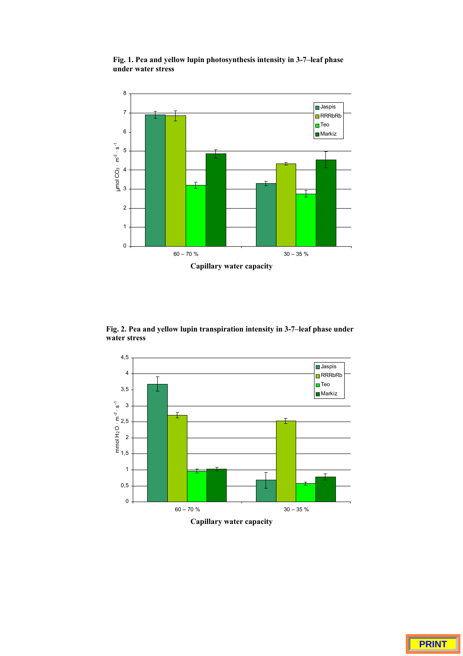

**Fig. 1. Pea and yellow lupin photosynthesis intensity in 3-7–leaf phase under water stress**

**Fig. 2. Pea and yellow lupin transpiration intensity in 3-7–leaf phase under water stress**

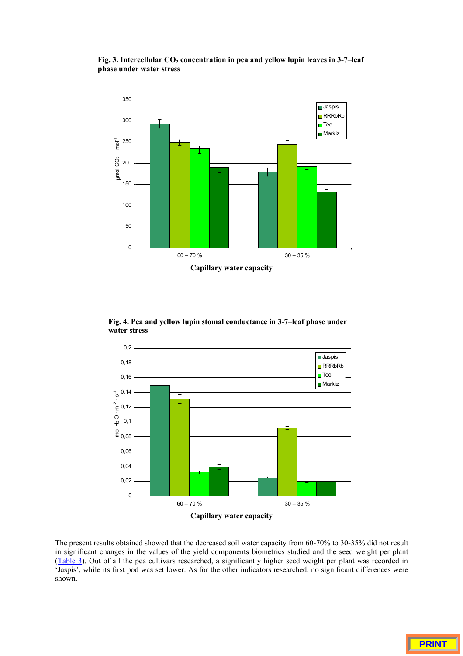

Fig. 3. Intercellular CO<sub>2</sub> concentration in pea and yellow lupin leaves in 3-7-leaf **phase under water stress**



**Fig. 4. Pea and yellow lupin stomal conductance in 3-7–leaf phase under water stress**

The present results obtained showed that the decreased soil water capacity from 60-70% to 30-35% did not result in significant changes in the values of the yield components biometrics studied and the seed weight per plant (Table 3). Out of all the pea cultivars researched, a significantly higher seed weight per plant was recorded in 'Jaspis', while its first pod was set lower. As for the other indicators researched, no significant differences were shown.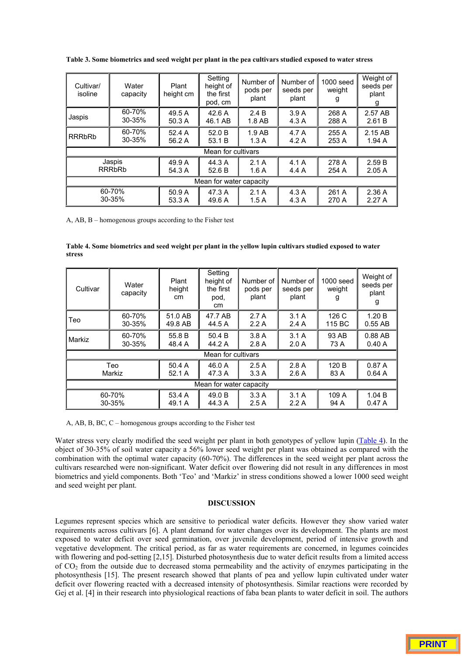**Table 3. Some biometrics and seed weight per plant in the pea cultivars studied exposed to water stress**

| Cultivar/<br>isoline    | Water<br>capacity | Plant<br>height cm | Setting<br>height of<br>the first<br>pod, cm | Number of<br>pods per<br>plant | Number of<br>seeds per<br>plant | $1000$ seed<br>weight<br>g | Weight of<br>seeds per<br>plant<br>g |
|-------------------------|-------------------|--------------------|----------------------------------------------|--------------------------------|---------------------------------|----------------------------|--------------------------------------|
| Jaspis                  | 60-70%            | 49.5 A             | 42.6A                                        | 2.4B                           | 3.9A                            | 268 A                      | 2.57 AB                              |
|                         | 30-35%            | 50.3 A             | 46.1 AB                                      | $1.8$ AB                       | 4.3A                            | 288 A                      | 2.61B                                |
| <b>RRRbRb</b>           | 60-70%            | 52.4 A             | 52.0 B                                       | 1.9AB                          | 4.7 A                           | 255 A                      | 2.15 AB                              |
|                         | 30-35%            | 56.2 A             | 53.1 B                                       | 1.3A                           | 4.2A                            | 253 A                      | 1.94A                                |
| Mean for cultivars      |                   |                    |                                              |                                |                                 |                            |                                      |
| Jaspis                  |                   | 49.9 A             | 44.3 A                                       | 2.1A                           | 4.1A                            | 278 A                      | 2.59B                                |
| <b>RRRbRb</b>           |                   | 54.3 A             | 52.6 B                                       | 1.6A                           | 4.4A                            | 254 A                      | 2.05A                                |
| Mean for water capacity |                   |                    |                                              |                                |                                 |                            |                                      |
| 60-70%                  |                   | 50.9 A             | 47.3 A                                       | 2.1A                           | 4.3A                            | 261 A                      | 2.36A                                |
| $30 - 35%$              |                   | 53.3 A             | 49.6 A                                       | 1.5A                           | 4.3A                            | 270 A                      | 2.27A                                |

A, AB, B – homogenous groups according to the Fisher test

**Table 4. Some biometrics and seed weight per plant in the yellow lupin cultivars studied exposed to water stress**

| Cultivar                             | Water<br>capacity | Plant<br>height<br>cm | Setting<br>height of<br>the first<br>pod,<br>cm | Number of<br>pods per<br>plant | Number of<br>seeds per<br>plant | 1000 seed<br>weight | Weight of<br>seeds per<br>plant<br>g |
|--------------------------------------|-------------------|-----------------------|-------------------------------------------------|--------------------------------|---------------------------------|---------------------|--------------------------------------|
| Teo                                  | 60-70%<br>30-35%  | 51.0 AB<br>49.8 AB    | 47.7 AB<br>44.5 A                               | 2.7A<br>2.2A                   | 3.1A<br>2.4A                    | 126 C<br>115 BC     | 1.20 B<br>$0.55$ AB                  |
| Markiz                               | 60-70%<br>30-35%  | 55.8 B<br>48.4 A      | 50.4 B<br>44.2 A                                | 3.8A<br>2.8A                   | 3.1A<br>2.0A                    | 93 AB<br>73 A       | 0.88 AB<br>0.40A                     |
| Mean for cultivars                   |                   |                       |                                                 |                                |                                 |                     |                                      |
| 50.4A<br>Teo<br>Markiz<br>52.1 A     |                   | 46.0 A<br>47.3 A      | 2.5A<br>3.3A                                    | 2.8A<br>2.6A                   | 120 B<br>83 A                   | 0.87A<br>0.64A      |                                      |
| Mean for water capacity              |                   |                       |                                                 |                                |                                 |                     |                                      |
| 60-70%<br>53.4 A<br>30-35%<br>49.1 A |                   |                       | 49.0 B<br>44.3 A                                | 3.3A<br>2.5A                   | 3.1A<br>2.2A                    | 109 A<br>94 A       | 1.04 B<br>0.47A                      |

A, AB, B, BC, C – homogenous groups according to the Fisher test

Water stress very clearly modified the seed weight per plant in both genotypes of yellow lupin (Table 4). In the object of 30-35% of soil water capacity a 56% lower seed weight per plant was obtained as compared with the combination with the optimal water capacity (60-70%). The differences in the seed weight per plant across the cultivars researched were non-significant. Water deficit over flowering did not result in any differences in most biometrics and yield components. Both 'Teo' and 'Markiz' in stress conditions showed a lower 1000 seed weight and seed weight per plant.

# **DISCUSSION**

Legumes represent species which are sensitive to periodical water deficits. However they show varied water requirements across cultivars [6]. A plant demand for water changes over its development. The plants are most exposed to water deficit over seed germination, over juvenile development, period of intensive growth and vegetative development. The critical period, as far as water requirements are concerned, in legumes coincides with flowering and pod-setting [2,15]. Disturbed photosynthesis due to water deficit results from a limited access of CO2 from the outside due to decreased stoma permeability and the activity of enzymes participating in the photosynthesis [15]. The present research showed that plants of pea and yellow lupin cultivated under water deficit over flowering reacted with a decreased intensity of photosynthesis. Similar reactions were recorded by Gej et al. [4] in their research into physiological reactions of faba bean plants to water deficit in soil. The authors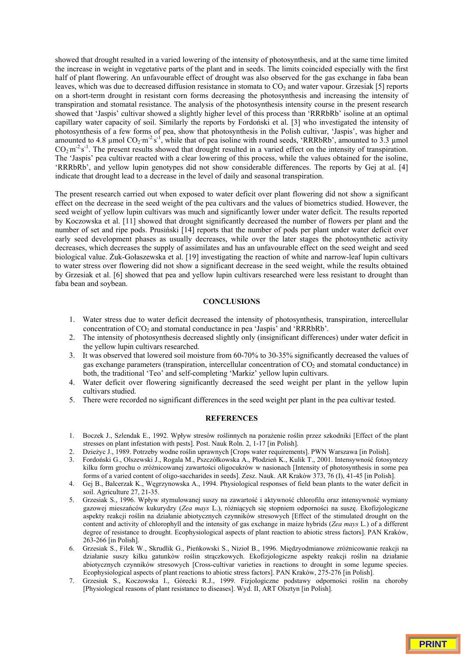showed that drought resulted in a varied lowering of the intensity of photosynthesis, and at the same time limited the increase in weight in vegetative parts of the plant and in seeds. The limits coincided especially with the first half of plant flowering. An unfavourable effect of drought was also observed for the gas exchange in faba bean leaves, which was due to decreased diffusion resistance in stomata to  $CO<sub>2</sub>$  and water vapour. Grzesiak [5] reports on a short-term drought in resistant corn forms decreasing the photosynthesis and increasing the intensity of transpiration and stomatal resistance. The analysis of the photosynthesis intensity course in the present research showed that 'Jaspis' cultivar showed a slightly higher level of this process than 'RRRbRb' isoline at an optimal capillary water capacity of soil. Similarly the reports by Fordoński et al. [3] who investigated the intensity of photosynthesis of a few forms of pea, show that photosynthesis in the Polish cultivar, 'Jaspis', was higher and amounted to 4.8  $\mu$ mol CO<sub>2</sub>·m<sup>-2</sup>s<sup>-1</sup>, while that of pea isoline with round seeds, 'RRRbRb', amounted to 3.3  $\mu$ mol  $CO_2$  m<sup>-2</sup> s<sup>-1</sup>. The present results showed that drought resulted in a varied effect on the intensity of transpiration. The 'Jaspis' pea cultivar reacted with a clear lowering of this process, while the values obtained for the isoline, 'RRRbRb', and yellow lupin genotypes did not show considerable differences. The reports by Gej at al. [4] indicate that drought lead to a decrease in the level of daily and seasonal transpiration.

The present research carried out when exposed to water deficit over plant flowering did not show a significant effect on the decrease in the seed weight of the pea cultivars and the values of biometrics studied. However, the seed weight of yellow lupin cultivars was much and significantly lower under water deficit. The results reported by Koczowska et al. [11] showed that drought significantly decreased the number of flowers per plant and the number of set and ripe pods. Prusiński [14] reports that the number of pods per plant under water deficit over early seed development phases as usually decreases, while over the later stages the photosynthetic activity decreases, which decreases the supply of assimilates and has an unfavourable effect on the seed weight and seed biological value. Żuk-Gołaszewska et al. [19] investigating the reaction of white and narrow-leaf lupin cultivars to water stress over flowering did not show a significant decrease in the seed weight, while the results obtained by Grzesiak et al. [6] showed that pea and yellow lupin cultivars researched were less resistant to drought than faba bean and soybean.

#### **CONCLUSIONS**

- 1. Water stress due to water deficit decreased the intensity of photosynthesis, transpiration, intercellular concentration of  $CO<sub>2</sub>$  and stomatal conductance in pea 'Jaspis' and 'RRRbRb'.
- 2. The intensity of photosynthesis decreased slightly only (insignificant differences) under water deficit in the yellow lupin cultivars researched.
- 3. It was observed that lowered soil moisture from 60-70% to 30-35% significantly decreased the values of gas exchange parameters (transpiration, intercellular concentration of  $CO<sub>2</sub>$  and stomatal conductance) in both, the traditional 'Teo' and self-completing 'Markiz' yellow lupin cultivars.
- 4. Water deficit over flowering significantly decreased the seed weight per plant in the yellow lupin cultivars studied.
- 5. There were recorded no significant differences in the seed weight per plant in the pea cultivar tested.

#### **REFERENCES**

- 1. Boczek J., Szlendak E., 1992. Wpływ stresów roślinnych na porażenie roślin przez szkodniki [Effect of the plant stresses on plant infestation with pests]. Post. Nauk Roln. 2, 1-17 [in Polish].
- 2. Dzieżyc J., 1989. Potrzeby wodne roślin uprawnych [Crops water requirements]. PWN Warszawa [in Polish].
- 3. Fordoński G., Olszewski J., Rogala M., Pszczółkowska A., Płodzień K., Kulik T., 2001. Intensywność fotosyntezy kilku form grochu o zróżnicowanej zawartości oligocukrów w nasionach [Intensity of photosynthesis in some pea forms of a varied content of oligo-saccharides in seeds]. Zesz. Nauk. AR Kraków 373, 76 (I), 41-45 [in Polish].
- 4. Gej B., Balcerzak K., Węgrzynowska A., 1994. Physiological responses of field bean plants to the water deficit in soil. Agriculture 27, 21-35.
- 5. Grzesiak S., 1996. Wpływ stymulowanej suszy na zawartość i aktywność chlorofilu oraz intensywność wymiany gazowej mieszańców kukurydzy (*Zea mays* L.), różniących się stopniem odporności na suszę. Ekofizjologiczne aspekty reakcji roślin na działanie abiotycznych czynników stresowych [Effect of the stimulated drought on the content and activity of chlorophyll and the intensity of gas exchange in maize hybrids (*Zea mays* L.) of a different degree of resistance to drought. Ecophysiological aspects of plant reaction to abiotic stress factors]. PAN Kraków, 263-266 [in Polish].
- 6. Grzesiak S., Filek W., Skrudlik G., Pieńkowski S., Nizioł B., 1996. Międzyodmianowe zróżnicowanie reakcji na działanie suszy kilku gatunków roślin strączkowych. Ekofizjologiczne aspekty reakcji roślin na działanie abiotycznych czynników stresowych [Cross-cultivar varieties in reactions to drought in some legume species. Ecophysiological aspects of plant reactions to abiotic stress factors]. PAN Kraków, 275-276 [in Polish].
- 7. Grzesiuk S., Koczowska I., Górecki R.J., 1999. Fizjologiczne podstawy odporności roślin na choroby [Physiological reasons of plant resistance to diseases]. Wyd. II, ART Olsztyn [in Polish].